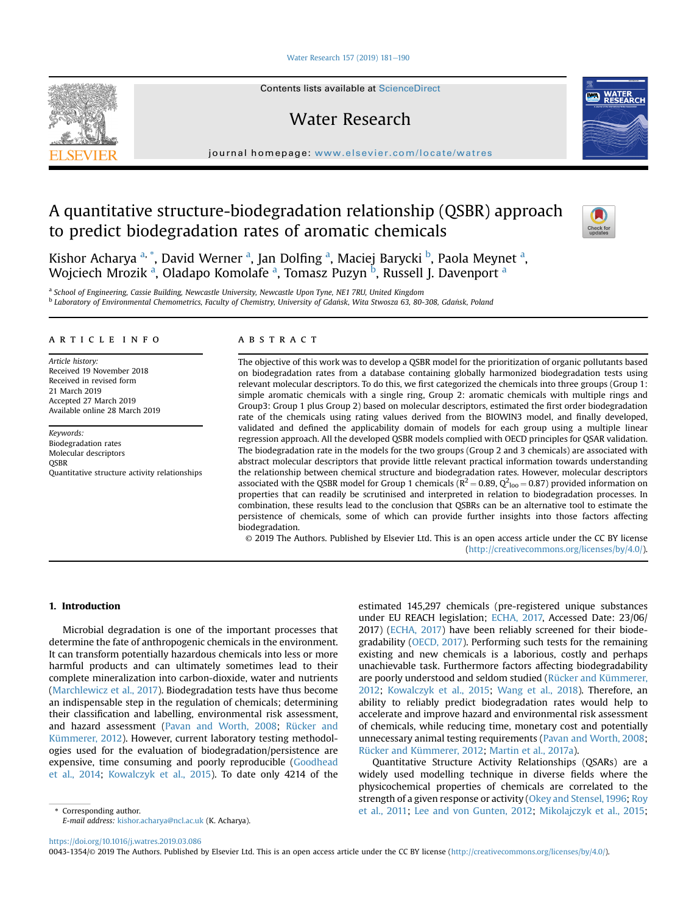#### [Water Research 157 \(2019\) 181](https://doi.org/10.1016/j.watres.2019.03.086)-[190](https://doi.org/10.1016/j.watres.2019.03.086)



Contents lists available at ScienceDirect

# Water Research

journal homepage: <www.elsevier.com/locate/watres>

# A quantitative structure-biodegradation relationship (QSBR) approach to predict biodegradation rates of aromatic chemicals



Kishor Acharya <sup>a, \*</sup>, David Werner <sup>a</sup>, Jan Dolfing <sup>a</sup>, Maciej Barycki <sup>b</sup>, Paola Meynet <sup>a</sup>, Wojciech Mrozik <sup>a</sup>, Oladapo Komolafe <sup>a</sup>, Tomasz Puzyn <sup>b</sup>, Russell J. Davenport <sup>a</sup>

a School of Engineering, Cassie Building, Newcastle University, Newcastle Upon Tyne, NE1 7RU, United Kingdom

#### article info

Article history: Received 19 November 2018 Received in revised form 21 March 2019 Accepted 27 March 2019 Available online 28 March 2019

Keywords: Biodegradation rates Molecular descriptors **OSBR** Quantitative structure activity relationships

#### **ABSTRACT**

The objective of this work was to develop a QSBR model for the prioritization of organic pollutants based on biodegradation rates from a database containing globally harmonized biodegradation tests using relevant molecular descriptors. To do this, we first categorized the chemicals into three groups (Group 1: simple aromatic chemicals with a single ring, Group 2: aromatic chemicals with multiple rings and Group3: Group 1 plus Group 2) based on molecular descriptors, estimated the first order biodegradation rate of the chemicals using rating values derived from the BIOWIN3 model, and finally developed, validated and defined the applicability domain of models for each group using a multiple linear regression approach. All the developed QSBR models complied with OECD principles for QSAR validation. The biodegradation rate in the models for the two groups (Group 2 and 3 chemicals) are associated with abstract molecular descriptors that provide little relevant practical information towards understanding the relationship between chemical structure and biodegradation rates. However, molecular descriptors associated with the QSBR model for Group 1 chemicals ( $R^2 = 0.89$ ,  $Q^2$ <sub>loo</sub> = 0.87) provided information on properties that can readily be scrutinised and interpreted in relation to biodegradation processes. In combination, these results lead to the conclusion that QSBRs can be an alternative tool to estimate the persistence of chemicals, some of which can provide further insights into those factors affecting biodegradation.

© 2019 The Authors. Published by Elsevier Ltd. This is an open access article under the CC BY license [\(http://creativecommons.org/licenses/by/4.0/](http://creativecommons.org/licenses/by/4.0/)).

#### 1. Introduction

Microbial degradation is one of the important processes that determine the fate of anthropogenic chemicals in the environment. It can transform potentially hazardous chemicals into less or more harmful products and can ultimately sometimes lead to their complete mineralization into carbon-dioxide, water and nutrients ([Marchlewicz et al., 2017](#page-8-0)). Biodegradation tests have thus become an indispensable step in the regulation of chemicals; determining their classification and labelling, environmental risk assessment, and hazard assessment [\(Pavan and Worth, 2008](#page-9-0); [Rücker and](#page-9-0) [Kümmerer, 2012](#page-9-0)). However, current laboratory testing methodologies used for the evaluation of biodegradation/persistence are expensive, time consuming and poorly reproducible [\(Goodhead](#page-8-0) [et al., 2014](#page-8-0); [Kowalczyk et al., 2015](#page-8-0)). To date only 4214 of the

estimated 145,297 chemicals (pre-registered unique substances under EU REACH legislation; [ECHA, 2017,](#page-8-0) Accessed Date: 23/06/ 2017) [\(ECHA, 2017\)](#page-8-0) have been reliably screened for their biodegradability ([OECD, 2017\)](#page-8-0). Performing such tests for the remaining existing and new chemicals is a laborious, costly and perhaps unachievable task. Furthermore factors affecting biodegradability are poorly understood and seldom studied [\(Rücker and Kümmerer,](#page-9-0) [2012;](#page-9-0) [Kowalczyk et al., 2015](#page-8-0); [Wang et al., 2018](#page-9-0)). Therefore, an ability to reliably predict biodegradation rates would help to accelerate and improve hazard and environmental risk assessment of chemicals, while reducing time, monetary cost and potentially unnecessary animal testing requirements ([Pavan and Worth, 2008;](#page-9-0) [Rücker and Kümmerer, 2012;](#page-9-0) [Martin et al., 2017a](#page-8-0)).

Quantitative Structure Activity Relationships (QSARs) are a widely used modelling technique in diverse fields where the physicochemical properties of chemicals are correlated to the strength of a given response or activity [\(Okey and Stensel, 1996](#page-8-0); [Roy](#page-9-0) \* Corresponding author. [et al., 2011;](#page-9-0) [Lee and von Gunten, 2012](#page-8-0); [Mikolajczyk et al., 2015;](#page-8-0)

E-mail address: [kishor.acharya@ncl.ac.uk](mailto:kishor.acharya@ncl.ac.uk) (K. Acharya).

<https://doi.org/10.1016/j.watres.2019.03.086>

0043-1354/© 2019 The Authors. Published by Elsevier Ltd. This is an open access article under the CC BY license ([http://creativecommons.org/licenses/by/4.0/\)](http://creativecommons.org/licenses/by/4.0/).

<sup>&</sup>lt;sup>b</sup> Laboratory of Environmental Chemometrics, Faculty of Chemistry, University of Gdańsk, Wita Stwosza 63, 80-308, Gdańsk, Poland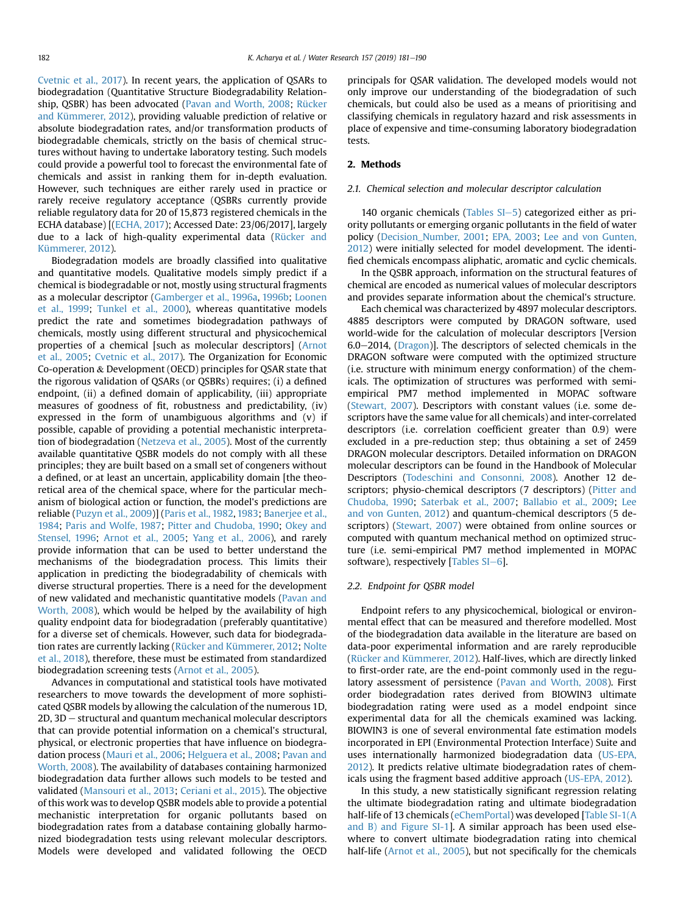[Cvetnic et al., 2017](#page-8-0)). In recent years, the application of QSARs to biodegradation (Quantitative Structure Biodegradability Relationship, QSBR) has been advocated [\(Pavan and Worth, 2008;](#page-9-0) [Rücker](#page-9-0) [and Kümmerer, 2012\)](#page-9-0), providing valuable prediction of relative or absolute biodegradation rates, and/or transformation products of biodegradable chemicals, strictly on the basis of chemical structures without having to undertake laboratory testing. Such models could provide a powerful tool to forecast the environmental fate of chemicals and assist in ranking them for in-depth evaluation. However, such techniques are either rarely used in practice or rarely receive regulatory acceptance (QSBRs currently provide reliable regulatory data for 20 of 15,873 registered chemicals in the ECHA database) [[\(ECHA, 2017](#page-8-0)); Accessed Date: 23/06/2017], largely due to a lack of high-quality experimental data ([Rücker and](#page-9-0) [Kümmerer, 2012\)](#page-9-0).

Biodegradation models are broadly classified into qualitative and quantitative models. Qualitative models simply predict if a chemical is biodegradable or not, mostly using structural fragments as a molecular descriptor [\(Gamberger et al., 1996a,](#page-8-0) [1996b;](#page-8-0) [Loonen](#page-8-0) [et al., 1999](#page-8-0); [Tunkel et al., 2000\)](#page-9-0), whereas quantitative models predict the rate and sometimes biodegradation pathways of chemicals, mostly using different structural and physicochemical properties of a chemical [such as molecular descriptors] [\(Arnot](#page-8-0) [et al., 2005](#page-8-0); [Cvetnic et al., 2017\)](#page-8-0). The Organization for Economic Co-operation & Development (OECD) principles for QSAR state that the rigorous validation of QSARs (or QSBRs) requires; (i) a defined endpoint, (ii) a defined domain of applicability, (iii) appropriate measures of goodness of fit, robustness and predictability, (iv) expressed in the form of unambiguous algorithms and (v) if possible, capable of providing a potential mechanistic interpretation of biodegradation [\(Netzeva et al., 2005](#page-8-0)). Most of the currently available quantitative QSBR models do not comply with all these principles; they are built based on a small set of congeners without a defined, or at least an uncertain, applicability domain [the theoretical area of the chemical space, where for the particular mechanism of biological action or function, the model's predictions are reliable ([Puzyn et al., 2009\)](#page-9-0)] ([Paris et al., 1982,](#page-8-0) [1983](#page-8-0); [Banerjee et al.,](#page-8-0) [1984](#page-8-0); [Paris and Wolfe, 1987;](#page-8-0) [Pitter and Chudoba, 1990](#page-9-0); [Okey and](#page-8-0) [Stensel, 1996](#page-8-0); [Arnot et al., 2005;](#page-8-0) [Yang et al., 2006\)](#page-9-0), and rarely provide information that can be used to better understand the mechanisms of the biodegradation process. This limits their application in predicting the biodegradability of chemicals with diverse structural properties. There is a need for the development of new validated and mechanistic quantitative models ([Pavan and](#page-9-0) [Worth, 2008](#page-9-0)), which would be helped by the availability of high quality endpoint data for biodegradation (preferably quantitative) for a diverse set of chemicals. However, such data for biodegradation rates are currently lacking [\(Rücker and Kümmerer, 2012;](#page-9-0) [Nolte](#page-8-0) [et al., 2018](#page-8-0)), therefore, these must be estimated from standardized biodegradation screening tests [\(Arnot et al., 2005](#page-8-0)).

Advances in computational and statistical tools have motivated researchers to move towards the development of more sophisticated QSBR models by allowing the calculation of the numerous 1D,  $2D$ ,  $3D$  – structural and quantum mechanical molecular descriptors that can provide potential information on a chemical's structural, physical, or electronic properties that have influence on biodegradation process [\(Mauri et al., 2006](#page-8-0); [Helguera et al., 2008;](#page-8-0) [Pavan and](#page-9-0) [Worth, 2008\)](#page-9-0). The availability of databases containing harmonized biodegradation data further allows such models to be tested and validated ([Mansouri et al., 2013;](#page-8-0) [Ceriani et al., 2015](#page-8-0)). The objective of this work was to develop QSBR models able to provide a potential mechanistic interpretation for organic pollutants based on biodegradation rates from a database containing globally harmonized biodegradation tests using relevant molecular descriptors. Models were developed and validated following the OECD principals for QSAR validation. The developed models would not only improve our understanding of the biodegradation of such chemicals, but could also be used as a means of prioritising and classifying chemicals in regulatory hazard and risk assessments in place of expensive and time-consuming laboratory biodegradation tests.

## 2. Methods

## 2.1. Chemical selection and molecular descriptor calculation

140 organic chemicals (Tables  $SI-5$ ) categorized either as priority pollutants or emerging organic pollutants in the field of water policy ([Decision\\_Number, 2001;](#page-8-0) [EPA, 2003](#page-8-0); [Lee and von Gunten,](#page-8-0) [2012](#page-8-0)) were initially selected for model development. The identified chemicals encompass aliphatic, aromatic and cyclic chemicals.

In the QSBR approach, information on the structural features of chemical are encoded as numerical values of molecular descriptors and provides separate information about the chemical's structure.

Each chemical was characterized by 4897 molecular descriptors. 4885 descriptors were computed by DRAGON software, used world-wide for the calculation of molecular descriptors [Version 6.0-2014, ([Dragon\)](#page-8-0)]. The descriptors of selected chemicals in the DRAGON software were computed with the optimized structure (i.e. structure with minimum energy conformation) of the chemicals. The optimization of structures was performed with semiempirical PM7 method implemented in MOPAC software ([Stewart, 2007](#page-9-0)). Descriptors with constant values (i.e. some descriptors have the same value for all chemicals) and inter-correlated descriptors (i.e. correlation coefficient greater than 0.9) were excluded in a pre-reduction step; thus obtaining a set of 2459 DRAGON molecular descriptors. Detailed information on DRAGON molecular descriptors can be found in the Handbook of Molecular Descriptors ([Todeschini and Consonni, 2008\)](#page-9-0). Another 12 descriptors; physio-chemical descriptors (7 descriptors) ([Pitter and](#page-9-0) [Chudoba, 1990;](#page-9-0) [Saterbak et al., 2007](#page-9-0); [Ballabio et al., 2009](#page-8-0); [Lee](#page-8-0) [and von Gunten, 2012](#page-8-0)) and quantum-chemical descriptors (5 de-scriptors) [\(Stewart, 2007\)](#page-9-0) were obtained from online sources or computed with quantum mechanical method on optimized structure (i.e. semi-empirical PM7 method implemented in MOPAC software), respectively [Tables  $SI-6$ ].

#### 2.2. Endpoint for QSBR model

Endpoint refers to any physicochemical, biological or environmental effect that can be measured and therefore modelled. Most of the biodegradation data available in the literature are based on data-poor experimental information and are rarely reproducible ([Rücker and Kümmerer, 2012](#page-9-0)). Half-lives, which are directly linked to first-order rate, are the end-point commonly used in the regulatory assessment of persistence ([Pavan and Worth, 2008\)](#page-9-0). First order biodegradation rates derived from BIOWIN3 ultimate biodegradation rating were used as a model endpoint since experimental data for all the chemicals examined was lacking. BIOWIN3 is one of several environmental fate estimation models incorporated in EPI (Environmental Protection Interface) Suite and uses internationally harmonized biodegradation data ([US-EPA,](#page-9-0) [2012](#page-9-0)). It predicts relative ultimate biodegradation rates of chemicals using the fragment based additive approach ([US-EPA, 2012](#page-9-0)).

In this study, a new statistically significant regression relating the ultimate biodegradation rating and ultimate biodegradation half-life of 13 chemicals ([eChemPortal](#page-8-0)) was developed [Table SI-1(A and B) and Figure SI-1]. A similar approach has been used elsewhere to convert ultimate biodegradation rating into chemical half-life [\(Arnot et al., 2005\)](#page-8-0), but not specifically for the chemicals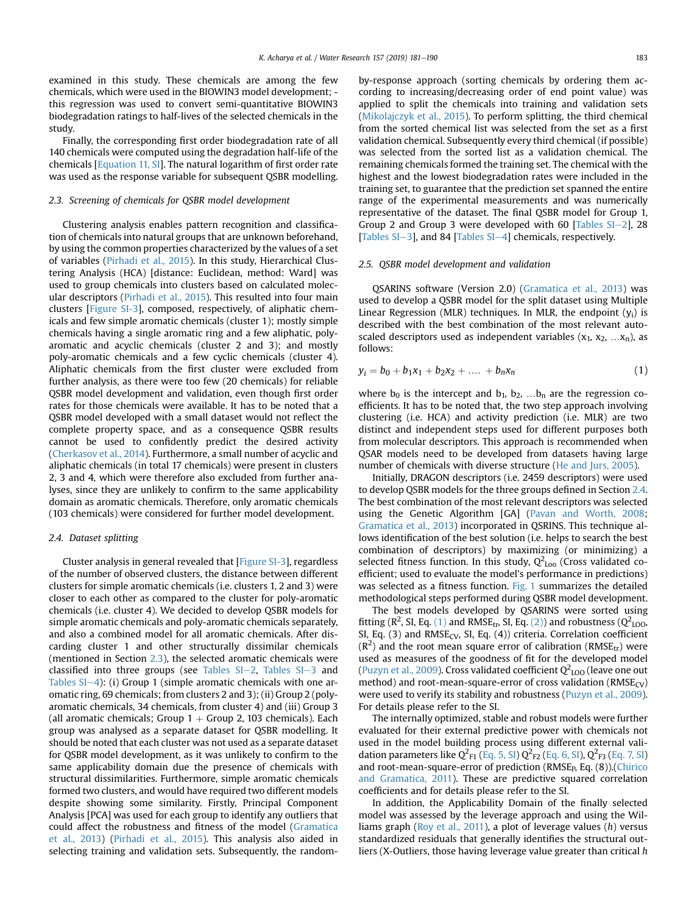examined in this study. These chemicals are among the few chemicals, which were used in the BIOWIN3 model development; this regression was used to convert semi-quantitative BIOWIN3 biodegradation ratings to half-lives of the selected chemicals in the study.

Finally, the corresponding first order biodegradation rate of all 140 chemicals were computed using the degradation half-life of the chemicals [Equation 11, SI]. The natural logarithm of first order rate was used as the response variable for subsequent QSBR modelling.

### 2.3. Screening of chemicals for QSBR model development

Clustering analysis enables pattern recognition and classification of chemicals into natural groups that are unknown beforehand, by using the common properties characterized by the values of a set of variables ([Pirhadi et al., 2015\)](#page-9-0). In this study, Hierarchical Clustering Analysis (HCA) [distance: Euclidean, method: Ward] was used to group chemicals into clusters based on calculated molecular descriptors ([Pirhadi et al., 2015\)](#page-9-0). This resulted into four main clusters [Figure SI-3], composed, respectively, of aliphatic chemicals and few simple aromatic chemicals (cluster 1); mostly simple chemicals having a single aromatic ring and a few aliphatic, polyaromatic and acyclic chemicals (cluster 2 and 3); and mostly poly-aromatic chemicals and a few cyclic chemicals (cluster 4). Aliphatic chemicals from the first cluster were excluded from further analysis, as there were too few (20 chemicals) for reliable QSBR model development and validation, even though first order rates for those chemicals were available. It has to be noted that a QSBR model developed with a small dataset would not reflect the complete property space, and as a consequence QSBR results cannot be used to confidently predict the desired activity ([Cherkasov et al., 2014\)](#page-8-0). Furthermore, a small number of acyclic and aliphatic chemicals (in total 17 chemicals) were present in clusters 2, 3 and 4, which were therefore also excluded from further analyses, since they are unlikely to confirm to the same applicability domain as aromatic chemicals. Therefore, only aromatic chemicals (103 chemicals) were considered for further model development.

#### 2.4. Dataset splitting

Cluster analysis in general revealed that [Figure SI-3], regardless of the number of observed clusters, the distance between different clusters for simple aromatic chemicals (i.e. clusters 1, 2 and 3) were closer to each other as compared to the cluster for poly-aromatic chemicals (i.e. cluster 4). We decided to develop QSBR models for simple aromatic chemicals and poly-aromatic chemicals separately, and also a combined model for all aromatic chemicals. After discarding cluster 1 and other structurally dissimilar chemicals (mentioned in Section 2.3), the selected aromatic chemicals were classified into three groups (see Tables  $SI-2$ , Tables  $SI-3$  and Tables  $SI-4$ ): (i) Group 1 (simple aromatic chemicals with one aromatic ring, 69 chemicals; from clusters 2 and 3); (ii) Group 2 (polyaromatic chemicals, 34 chemicals, from cluster 4) and (iii) Group 3 (all aromatic chemicals; Group  $1 +$  Group 2, 103 chemicals). Each group was analysed as a separate dataset for QSBR modelling. It should be noted that each cluster was not used as a separate dataset for QSBR model development, as it was unlikely to confirm to the same applicability domain due the presence of chemicals with structural dissimilarities. Furthermore, simple aromatic chemicals formed two clusters, and would have required two different models despite showing some similarity. Firstly, Principal Component Analysis [PCA] was used for each group to identify any outliers that could affect the robustness and fitness of the model ([Gramatica](#page-8-0) [et al., 2013](#page-8-0)) ([Pirhadi et al., 2015](#page-9-0)). This analysis also aided in selecting training and validation sets. Subsequently, the randomby-response approach (sorting chemicals by ordering them according to increasing/decreasing order of end point value) was applied to split the chemicals into training and validation sets ([Mikolajczyk et al., 2015\)](#page-8-0). To perform splitting, the third chemical from the sorted chemical list was selected from the set as a first validation chemical. Subsequently every third chemical (if possible) was selected from the sorted list as a validation chemical. The remaining chemicals formed the training set. The chemical with the highest and the lowest biodegradation rates were included in the training set, to guarantee that the prediction set spanned the entire range of the experimental measurements and was numerically representative of the dataset. The final QSBR model for Group 1, Group 2 and Group 3 were developed with 60 [Tables  $SI-2$ ], 28 [Tables  $SI-3$ ], and 84 [Tables  $SI-4$ ] chemicals, respectively.

## 2.5. QSBR model development and validation

QSARINS software (Version 2.0) ([Gramatica et al., 2013\)](#page-8-0) was used to develop a QSBR model for the split dataset using Multiple Linear Regression (MLR) techniques. In MLR, the endpoint  $(y_i)$  is described with the best combination of the most relevant autoscaled descriptors used as independent variables  $(x_1, x_2, ... x_n)$ , as follows:

$$
y_i = b_0 + b_1 x_1 + b_2 x_2 + \dots + b_n x_n \tag{1}
$$

where  $b_0$  is the intercept and  $b_1$ ,  $b_2$ , ... $b_n$  are the regression coefficients. It has to be noted that, the two step approach involving clustering (i.e. HCA) and activity prediction (i.e. MLR) are two distinct and independent steps used for different purposes both from molecular descriptors. This approach is recommended when QSAR models need to be developed from datasets having large number of chemicals with diverse structure [\(He and Jurs, 2005\)](#page-8-0).

Initially, DRAGON descriptors (i.e. 2459 descriptors) were used to develop QSBR models for the three groups defined in Section 2.4. The best combination of the most relevant descriptors was selected using the Genetic Algorithm [GA] [\(Pavan and Worth, 2008;](#page-9-0) [Gramatica et al., 2013](#page-8-0)) incorporated in QSRINS. This technique allows identification of the best solution (i.e. helps to search the best combination of descriptors) by maximizing (or minimizing) a selected fitness function. In this study,  $Q^2_{\text{Loo}}$  (Cross validated coefficient; used to evaluate the model's performance in predictions) was selected as a fitness function. [Fig. 1](#page-3-0) summarizes the detailed methodological steps performed during QSBR model development.

The best models developed by QSARINS were sorted using fitting (R<sup>2</sup>, SI, Eq. (1) and RMSE<sub>tr</sub>, SI, Eq. (2)) and robustness ( $Q^2$ <sub>LOO</sub>, SI, Eq. (3) and  $RMSE_{CV}$ , SI, Eq. (4)) criteria. Correlation coefficient  $(R^2)$  and the root mean square error of calibration (RMSE<sub>tr</sub>) were used as measures of the goodness of fit for the developed model ([Puzyn et al., 2009](#page-9-0)). Cross validated coefficient  $Q^2_{\,\rm LOO}$  (leave one out method) and root-mean-square-error of cross validation  $(RMSE_{CV})$ were used to verify its stability and robustness [\(Puzyn et al., 2009\)](#page-9-0). For details please refer to the SI.

The internally optimized, stable and robust models were further evaluated for their external predictive power with chemicals not used in the model building process using different external validation parameters like Q<sup>2</sup><sub>F1</sub> (Eq. 5, SI) Q<sup>2</sup><sub>F2</sub> (Eq. 6, SI), Q<sup>2</sup><sub>F3</sub> (Eq. 7, SI) and root-mean-square-error of prediction ( $RMSE<sub>B</sub>$ , Eq. (8)). ([Chirico](#page-8-0) [and Gramatica, 2011\)](#page-8-0). These are predictive squared correlation coefficients and for details please refer to the SI.

In addition, the Applicability Domain of the finally selected model was assessed by the leverage approach and using the Wil-liams graph [\(Roy et al., 2011\)](#page-9-0), a plot of leverage values  $(h)$  versus standardized residuals that generally identifies the structural outliers (X-Outliers, those having leverage value greater than critical h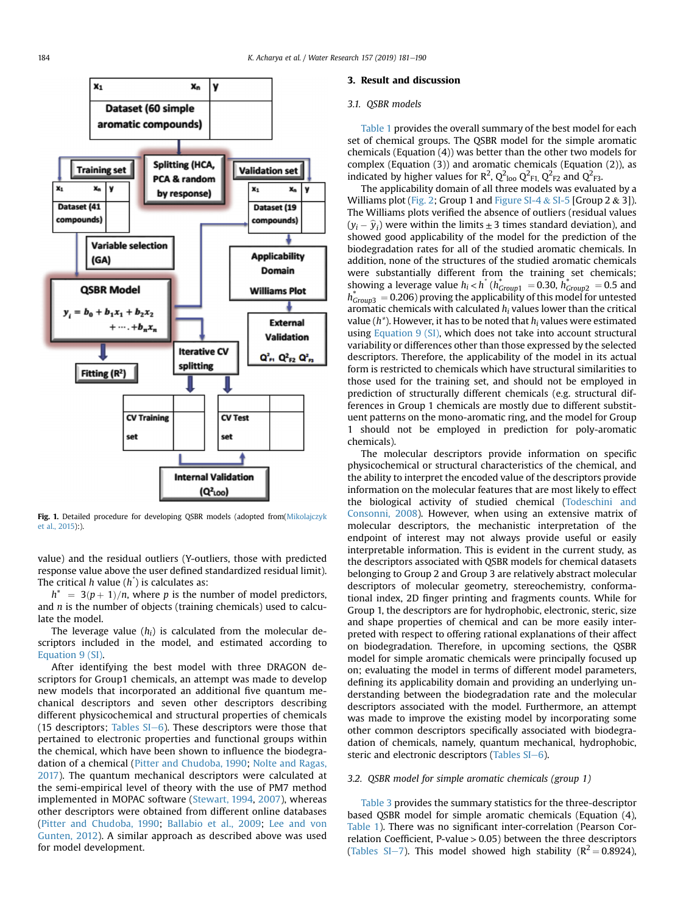<span id="page-3-0"></span>

Fig. 1. Detailed procedure for developing QSBR models (adopted from[\(Mikolajczyk](#page-8-0) [et al., 2015\)](#page-8-0):).

value) and the residual outliers (Y-outliers, those with predicted response value above the user defined standardized residual limit). The critical h value  $(h^{\dagger})$  is calculates as:

 $h^* = 3(p+1)/n$ , where p is the number of model predictors, and  $n$  is the number of objects (training chemicals) used to calculate the model.

The leverage value  $(h_i)$  is calculated from the molecular descriptors included in the model, and estimated according to Equation 9 (SI).

After identifying the best model with three DRAGON descriptors for Group1 chemicals, an attempt was made to develop new models that incorporated an additional five quantum mechanical descriptors and seven other descriptors describing different physicochemical and structural properties of chemicals (15 descriptors; Tables  $SI-6$ ). These descriptors were those that pertained to electronic properties and functional groups within the chemical, which have been shown to influence the biodegradation of a chemical ([Pitter and Chudoba, 1990](#page-9-0); [Nolte and Ragas,](#page-8-0) [2017](#page-8-0)). The quantum mechanical descriptors were calculated at the semi-empirical level of theory with the use of PM7 method implemented in MOPAC software ([Stewart, 1994,](#page-9-0) [2007\)](#page-9-0), whereas other descriptors were obtained from different online databases ([Pitter and Chudoba, 1990](#page-9-0); [Ballabio et al., 2009;](#page-8-0) [Lee and von](#page-8-0) [Gunten, 2012](#page-8-0)). A similar approach as described above was used for model development.

### 3. Result and discussion

# 3.1. QSBR models

[Table 1](#page-4-0) provides the overall summary of the best model for each set of chemical groups. The QSBR model for the simple aromatic chemicals (Equation (4)) was better than the other two models for complex (Equation (3)) and aromatic chemicals (Equation (2)), as indicated by higher values for R<sup>2</sup>, Q<sup>2</sup><sub>loo</sub> Q<sup>2</sup><sub>F1,</sub> Q<sup>2</sup><sub>F2</sub> and Q<sup>2</sup><sub>F3</sub>.

The applicability domain of all three models was evaluated by a Williams plot [\(Fig. 2;](#page-4-0) Group 1 and Figure SI-4 & SI-5 [Group 2 & 3]).<br>The Williams plots verified the absence of outliers (residual values<br> $(y_i - \hat{y}_i)$  were within the limits  $\pm$  3 times standard deviation), and The Williams plots verified the absence of outliers (residual values  $(y_i - \hat{y}_i)$  were within the limits  $\pm$  3 times standard deviation), and showed good applicability of the model for the prediction of the biodegradation rates for all of the studied aromatic chemicals. In addition, none of the structures of the studied aromatic chemicals were substantially different from the training set chemicals; showing a leverage value  $h_i < h^*$  ( $h^*_{Group1} = 0.30$ ,  $h^*_{Group2} = 0.5$  and  $h^*_{Group3} = 0.206$ ) proving the applicability of this model for untested aromatic chemicals with calculated  $h_i$  values lower than the critical value ( $h^*$ ). However, it has to be noted that  $h_i$  values were estimated using Equation 9 (SI), which does not take into account structural variability or differences other than those expressed by the selected descriptors. Therefore, the applicability of the model in its actual form is restricted to chemicals which have structural similarities to those used for the training set, and should not be employed in prediction of structurally different chemicals (e.g. structural differences in Group 1 chemicals are mostly due to different substituent patterns on the mono-aromatic ring, and the model for Group 1 should not be employed in prediction for poly-aromatic chemicals).

The molecular descriptors provide information on specific physicochemical or structural characteristics of the chemical, and the ability to interpret the encoded value of the descriptors provide information on the molecular features that are most likely to effect the biological activity of studied chemical ([Todeschini and](#page-9-0) [Consonni, 2008\)](#page-9-0). However, when using an extensive matrix of molecular descriptors, the mechanistic interpretation of the endpoint of interest may not always provide useful or easily interpretable information. This is evident in the current study, as the descriptors associated with QSBR models for chemical datasets belonging to Group 2 and Group 3 are relatively abstract molecular descriptors of molecular geometry, stereochemistry, conformational index, 2D finger printing and fragments counts. While for Group 1, the descriptors are for hydrophobic, electronic, steric, size and shape properties of chemical and can be more easily interpreted with respect to offering rational explanations of their affect on biodegradation. Therefore, in upcoming sections, the QSBR model for simple aromatic chemicals were principally focused up on; evaluating the model in terms of different model parameters, defining its applicability domain and providing an underlying understanding between the biodegradation rate and the molecular descriptors associated with the model. Furthermore, an attempt was made to improve the existing model by incorporating some other common descriptors specifically associated with biodegradation of chemicals, namely, quantum mechanical, hydrophobic, steric and electronic descriptors (Tables  $SI-6$ ).

## 3.2. QSBR model for simple aromatic chemicals (group 1)

[Table 3](#page-6-0) provides the summary statistics for the three-descriptor based QSBR model for simple aromatic chemicals (Equation (4), [Table 1\)](#page-4-0). There was no significant inter-correlation (Pearson Correlation Coefficient, P-value > 0.05) between the three descriptors (Tables SI-7). This model showed high stability ( $R^2 = 0.8924$ ),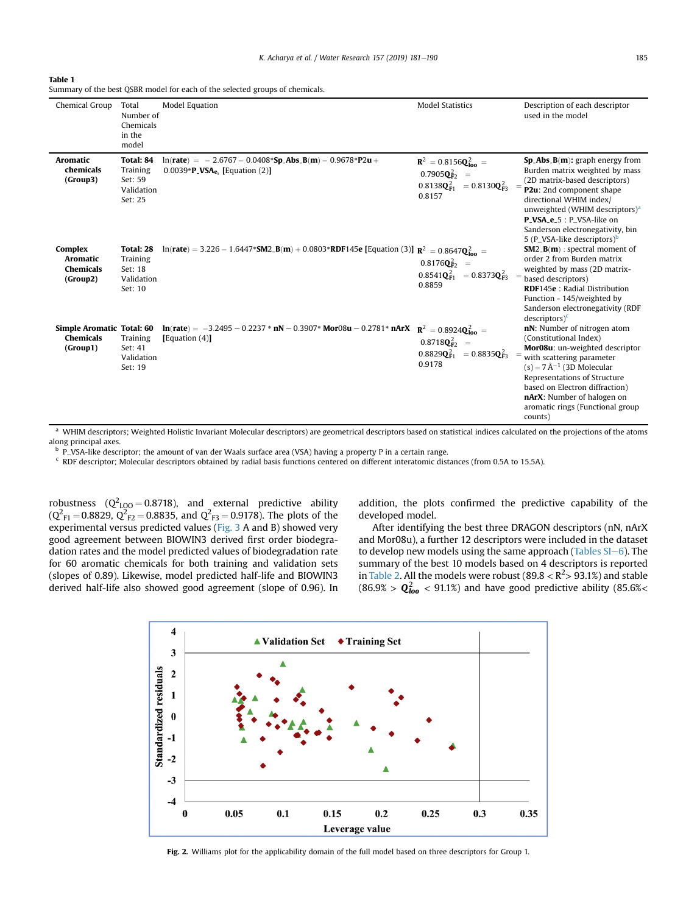<span id="page-4-0"></span>

| Table 1 |  |
|---------|--|
|---------|--|

Summary of the best QSBR model for each of the selected groups of chemicals.

| Chemical Group                                            | Total<br>Number of<br>Chemicals<br>in the<br>model               | <b>Model Equation</b>                                                                                                            | <b>Model Statistics</b>                                                                                                                              | Description of each descriptor<br>used in the model                                                                                                                                                                                                                                                                    |
|-----------------------------------------------------------|------------------------------------------------------------------|----------------------------------------------------------------------------------------------------------------------------------|------------------------------------------------------------------------------------------------------------------------------------------------------|------------------------------------------------------------------------------------------------------------------------------------------------------------------------------------------------------------------------------------------------------------------------------------------------------------------------|
| Aromatic<br>chemicals<br>(Group3)                         | Total: 84<br><b>Training</b><br>Set: 59<br>Validation<br>Set: 25 | $ln(\text{rate}) = -2.6767 - 0.0408* \text{Sp}$ Abs $B(m) - 0.9678* \text{P}2u +$<br>$0.0039*P_VSA_{e_5}$ [Equation (2)]         | ${\bf R}^2 = 0.8156{\bf Q}_{\rm 100}^2 =$<br>$0.7905Q_{F2}^2 =$<br>$0.8138 \mathbf{Q}_{\mathbf{F1}}^2 = 0.8130 \mathbf{Q}_{\mathbf{F3}}^2$<br>0.8157 | $Sp\_Abs_B(m)$ : graph energy from<br>Burden matrix weighted by mass<br>(2D matrix-based descriptors)<br>P2u: 2nd component shape<br>directional WHIM index/<br>unweighted (WHIM descriptors) <sup>a</sup><br>P_VSA_e_5 : P_VSA-like on<br>Sanderson electronegativity, bin<br>5 (P_VSA-like descriptors) <sup>b</sup> |
| Complex<br>Aromatic<br><b>Chemicals</b><br>(Group2)       | Total: 28<br>Training<br>Set: 18<br>Validation<br>Set: 10        | $ln(\text{rate}) = 3.226 - 1.6447 * SM2 \cdot B(m) + 0.0803 * RDF145e$ [Equation (3)] $R^2 = 0.8647Q_{\text{long}}^2$            | $0.8176Q_{F2}^2 =$<br>$0.8541 \mathbf{Q}_{\mathbf{F1}}^2 = 0.8373 \mathbf{Q}_{\mathbf{F3}}^2$<br>0.8859                                              | $SM2_B(m)$ : spectral moment of<br>order 2 from Burden matrix<br>weighted by mass (2D matrix-<br>based descriptors)<br><b>RDF145e</b> : Radial Distribution<br>Function - 145/weighted by<br>Sanderson electronegativity (RDF<br>$descriptors)^c$                                                                      |
| Simple Aromatic Total: 60<br><b>Chemicals</b><br>(Group1) | Training<br>Set: 41<br>Validation<br>Set: 19                     | $\ln(\text{rate}) = -3.2495 - 0.2237 * nN - 0.3907 * Mor08u - 0.2781 * nArX$ $R^2 = 0.8924Q_{\text{long}}^2$<br>Equation $(4)$ ] | $0.8718Q_{F2}^2 =$<br>$0.8829Q_{\text{F1}}^2 = 0.8835Q_{\text{F3}}^2$<br>0.9178                                                                      | nN: Number of nitrogen atom<br>(Constitutional Index)<br>Mor08u: un-weighted descriptor<br>with scattering parameter<br>$(s) = 7 \text{ Å}^{-1}$ (3D Molecular<br>Representations of Structure<br>based on Electron diffraction)<br>nArX: Number of halogen on<br>aromatic rings (Functional group<br>counts)          |

a WHIM descriptors; Weighted Holistic Invariant Molecular descriptors) are geometrical descriptors based on statistical indices calculated on the projections of the atoms along principal axes.

<sup>b</sup> P\_VSA-like descriptor; the amount of van der Waals surface area (VSA) having a property P in a certain range.

<sup>c</sup> RDF descriptor; Molecular descriptors obtained by radial basis functions centered on different interatomic distances (from 0.5A to 15.5A).

robustness ( $Q^2_{LQO} = 0.8718$ ), and external predictive ability  $(Q<sup>2</sup><sub>F1</sub> = 0.8829, Q<sup>2</sup><sub>F2</sub> = 0.8835, and Q<sup>2</sup><sub>F3</sub> = 0.9178).$  The plots of the experimental versus predicted values ([Fig. 3](#page-5-0) A and B) showed very good agreement between BIOWIN3 derived first order biodegradation rates and the model predicted values of biodegradation rate for 60 aromatic chemicals for both training and validation sets (slopes of 0.89). Likewise, model predicted half-life and BIOWIN3 derived half-life also showed good agreement (slope of 0.96). In addition, the plots confirmed the predictive capability of the developed model.

After identifying the best three DRAGON descriptors (nN, nArX and Mor08u), a further 12 descriptors were included in the dataset to develop new models using the same approach (Tables  $SI-6$ ). The summary of the best 10 models based on 4 descriptors is reported in [Table 2](#page-5-0). All the models were robust (89.8  $<$  R<sup>2</sup> $>$  93.1%) and stable (86.9% >  $Q_{\text{loo}}^2$  < 91.1%) and have good predictive ability (85.6%<



Fig. 2. Williams plot for the applicability domain of the full model based on three descriptors for Group 1.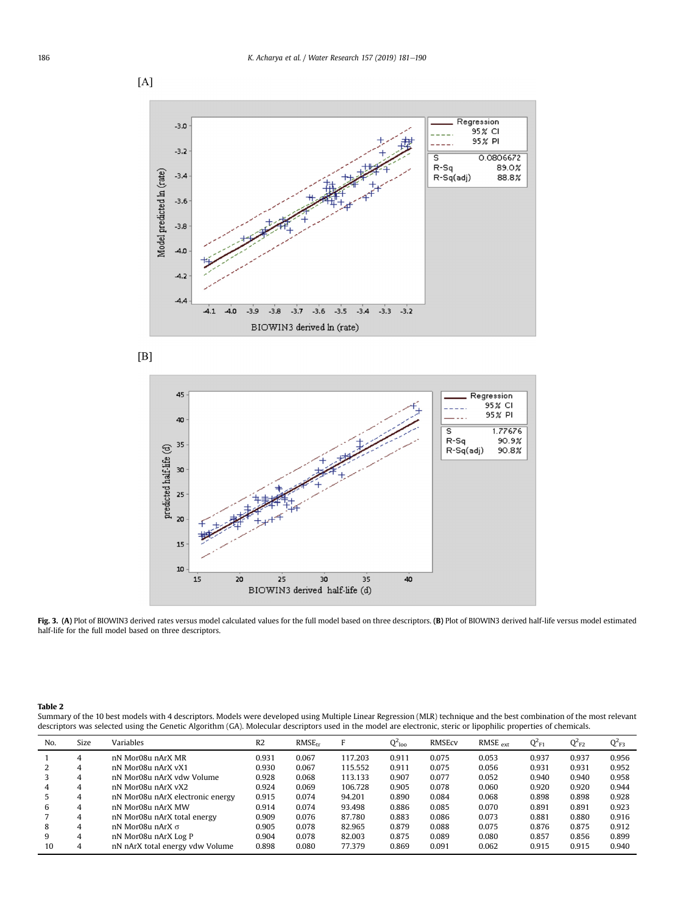<span id="page-5-0"></span>

 $[{\rm B}]$ 



Fig. 3. (A) Plot of BIOWIN3 derived rates versus model calculated values for the full model based on three descriptors. (B) Plot of BIOWIN3 derived half-life versus model estimated half-life for the full model based on three descriptors.

Table 2

Summary of the 10 best models with 4 descriptors. Models were developed using Multiple Linear Regression (MLR) technique and the best combination of the most relevant descriptors was selected using the Genetic Algorithm (GA). Molecular descriptors used in the model are electronic, steric or lipophilic properties of chemicals.

| No. | Size | Variables                        | R <sub>2</sub> | RMSE <sub>tr</sub> | Е       | $Q^2$ loo | RMSEcv | $RMSE_{ext}$ | $Q^2_{F1}$ | $Q^2_{F2}$ | $Q_{F3}^2$ |
|-----|------|----------------------------------|----------------|--------------------|---------|-----------|--------|--------------|------------|------------|------------|
|     | 4    | nN Mor08u nArX MR                | 0.931          | 0.067              | 117.203 | 0.911     | 0.075  | 0.053        | 0.937      | 0.937      | 0.956      |
|     | 4    | nN Mor08u nArX vX1               | 0.930          | 0.067              | 115.552 | 0.911     | 0.075  | 0.056        | 0.931      | 0.931      | 0.952      |
|     | 4    | nN Mor08u nArX vdw Volume        | 0.928          | 0.068              | 113.133 | 0.907     | 0.077  | 0.052        | 0.940      | 0.940      | 0.958      |
|     | 4    | nN Mor08u nArX vX2               | 0.924          | 0.069              | 106.728 | 0.905     | 0.078  | 0.060        | 0.920      | 0.920      | 0.944      |
|     | 4    | nN Mor08u nArX electronic energy | 0.915          | 0.074              | 94.201  | 0.890     | 0.084  | 0.068        | 0.898      | 0.898      | 0.928      |
| b   | 4    | nN Mor08u nArX MW                | 0.914          | 0.074              | 93.498  | 0.886     | 0.085  | 0.070        | 0.891      | 0.891      | 0.923      |
|     | 4    | nN Mor08u nArX total energy      | 0.909          | 0.076              | 87.780  | 0.883     | 0.086  | 0.073        | 0.881      | 0.880      | 0.916      |
| 8   | 4    | nN Mor08u nArX σ                 | 0.905          | 0.078              | 82.965  | 0.879     | 0.088  | 0.075        | 0.876      | 0.875      | 0.912      |
| 9   | 4    | nN Mor08u nArX Log P             | 0.904          | 0.078              | 82.003  | 0.875     | 0.089  | 0.080        | 0.857      | 0.856      | 0.899      |
| 10  | 4    | nN nArX total energy vdw Volume  | 0.898          | 0.080              | 77.379  | 0.869     | 0.091  | 0.062        | 0.915      | 0.915      | 0.940      |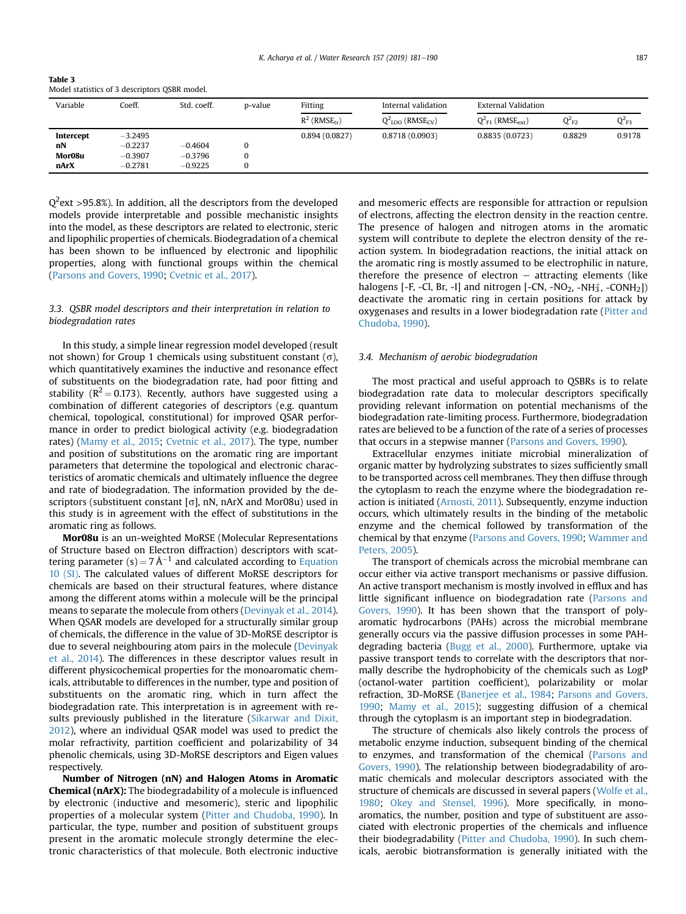<span id="page-6-0"></span>

| Table 3                                       |
|-----------------------------------------------|
| Model statistics of 3 descriptors QSBR model. |

| Variable  | Coeff.    | Std. coeff. | p-value  | Fitting                     | Internal validation               | <b>External Validation</b>        |            |            |
|-----------|-----------|-------------|----------|-----------------------------|-----------------------------------|-----------------------------------|------------|------------|
|           |           |             |          | $R^2$ (RMSE <sub>tr</sub> ) | $Q^2_{100}$ (RMSE <sub>CV</sub> ) | $Q_{F1}^2$ (RMSE <sub>ext</sub> ) | $Q_{F2}^2$ | $Q^2_{F3}$ |
| Intercept | $-3.2495$ |             |          | 0.894(0.0827)               | 0.8718(0.0903)                    | 0.8835(0.0723)                    | 0.8829     | 0.9178     |
| nN        | $-0.2237$ | $-0.4604$   | 0        |                             |                                   |                                   |            |            |
| Mor08u    | $-0.3907$ | $-0.3796$   | $\Omega$ |                             |                                   |                                   |            |            |
| nArX      | $-0.2781$ | $-0.9225$   | 0        |                             |                                   |                                   |            |            |

 $\mathsf{Q}^2$ ext >95.8%). In addition, all the descriptors from the developed models provide interpretable and possible mechanistic insights into the model, as these descriptors are related to electronic, steric and lipophilic properties of chemicals. Biodegradation of a chemical has been shown to be influenced by electronic and lipophilic properties, along with functional groups within the chemical ([Parsons and Govers, 1990;](#page-9-0) [Cvetnic et al., 2017](#page-8-0)).

# 3.3. QSBR model descriptors and their interpretation in relation to biodegradation rates

In this study, a simple linear regression model developed (result not shown) for Group 1 chemicals using substituent constant  $(\sigma)$ , which quantitatively examines the inductive and resonance effect of substituents on the biodegradation rate, had poor fitting and stability ( $R^2 = 0.173$ ). Recently, authors have suggested using a combination of different categories of descriptors (e.g. quantum chemical, topological, constitutional) for improved QSAR performance in order to predict biological activity (e.g. biodegradation rates) ([Mamy et al., 2015;](#page-8-0) [Cvetnic et al., 2017](#page-8-0)). The type, number and position of substitutions on the aromatic ring are important parameters that determine the topological and electronic characteristics of aromatic chemicals and ultimately influence the degree and rate of biodegradation. The information provided by the descriptors (substituent constant  $[\sigma]$ , nN, nArX and Mor08u) used in this study is in agreement with the effect of substitutions in the aromatic ring as follows.

Mor08u is an un-weighted MoRSE (Molecular Representations of Structure based on Electron diffraction) descriptors with scattering parameter (s) =  $7 \text{ Å}^{-1}$  and calculated according to Equation 10 (SI). The calculated values of different MoRSE descriptors for chemicals are based on their structural features, where distance among the different atoms within a molecule will be the principal means to separate the molecule from others [\(Devinyak et al., 2014\)](#page-8-0). When QSAR models are developed for a structurally similar group of chemicals, the difference in the value of 3D-MoRSE descriptor is due to several neighbouring atom pairs in the molecule ([Devinyak](#page-8-0) [et al., 2014\)](#page-8-0). The differences in these descriptor values result in different physicochemical properties for the monoaromatic chemicals, attributable to differences in the number, type and position of substituents on the aromatic ring, which in turn affect the biodegradation rate. This interpretation is in agreement with results previously published in the literature [\(Sikarwar and Dixit,](#page-9-0) [2012\)](#page-9-0), where an individual QSAR model was used to predict the molar refractivity, partition coefficient and polarizability of 34 phenolic chemicals, using 3D-MoRSE descriptors and Eigen values respectively.

Number of Nitrogen (nN) and Halogen Atoms in Aromatic Chemical (nArX): The biodegradability of a molecule is influenced by electronic (inductive and mesomeric), steric and lipophilic properties of a molecular system ([Pitter and Chudoba, 1990\)](#page-9-0). In particular, the type, number and position of substituent groups present in the aromatic molecule strongly determine the electronic characteristics of that molecule. Both electronic inductive and mesomeric effects are responsible for attraction or repulsion of electrons, affecting the electron density in the reaction centre. The presence of halogen and nitrogen atoms in the aromatic system will contribute to deplete the electron density of the reaction system. In biodegradation reactions, the initial attack on the aromatic ring is mostly assumed to be electrophilic in nature, therefore the presence of electron  $-$  attracting elements (like halogens [-F, -Cl, Br, -I] and nitrogen [-CN, -NO<sub>2</sub>, -NH $_3^+$ , -CONH $_2$ ]) deactivate the aromatic ring in certain positions for attack by oxygenases and results in a lower biodegradation rate ([Pitter and](#page-9-0) [Chudoba, 1990](#page-9-0)).

## 3.4. Mechanism of aerobic biodegradation

The most practical and useful approach to QSBRs is to relate biodegradation rate data to molecular descriptors specifically providing relevant information on potential mechanisms of the biodegradation rate-limiting process. Furthermore, biodegradation rates are believed to be a function of the rate of a series of processes that occurs in a stepwise manner [\(Parsons and Govers, 1990\)](#page-9-0).

Extracellular enzymes initiate microbial mineralization of organic matter by hydrolyzing substrates to sizes sufficiently small to be transported across cell membranes. They then diffuse through the cytoplasm to reach the enzyme where the biodegradation reaction is initiated ([Arnosti, 2011](#page-8-0)). Subsequently, enzyme induction occurs, which ultimately results in the binding of the metabolic enzyme and the chemical followed by transformation of the chemical by that enzyme ([Parsons and Govers, 1990](#page-9-0); [Wammer and](#page-9-0) [Peters, 2005](#page-9-0)).

The transport of chemicals across the microbial membrane can occur either via active transport mechanisms or passive diffusion. An active transport mechanism is mostly involved in efflux and has little significant influence on biodegradation rate ([Parsons and](#page-9-0) [Govers, 1990](#page-9-0)). It has been shown that the transport of polyaromatic hydrocarbons (PAHs) across the microbial membrane generally occurs via the passive diffusion processes in some PAHdegrading bacteria ([Bugg et al., 2000\)](#page-8-0). Furthermore, uptake via passive transport tends to correlate with the descriptors that normally describe the hydrophobicity of the chemicals such as LogP (octanol-water partition coefficient), polarizability or molar refraction, 3D-MoRSE [\(Banerjee et al., 1984;](#page-8-0) [Parsons and Govers,](#page-9-0) [1990;](#page-9-0) [Mamy et al., 2015\)](#page-8-0); suggesting diffusion of a chemical through the cytoplasm is an important step in biodegradation.

The structure of chemicals also likely controls the process of metabolic enzyme induction, subsequent binding of the chemical to enzymes, and transformation of the chemical ([Parsons and](#page-9-0) [Govers, 1990\)](#page-9-0). The relationship between biodegradability of aromatic chemicals and molecular descriptors associated with the structure of chemicals are discussed in several papers [\(Wolfe et al.,](#page-9-0) [1980;](#page-9-0) [Okey and Stensel, 1996](#page-8-0)). More specifically, in monoaromatics, the number, position and type of substituent are associated with electronic properties of the chemicals and influence their biodegradability ([Pitter and Chudoba, 1990\)](#page-9-0). In such chemicals, aerobic biotransformation is generally initiated with the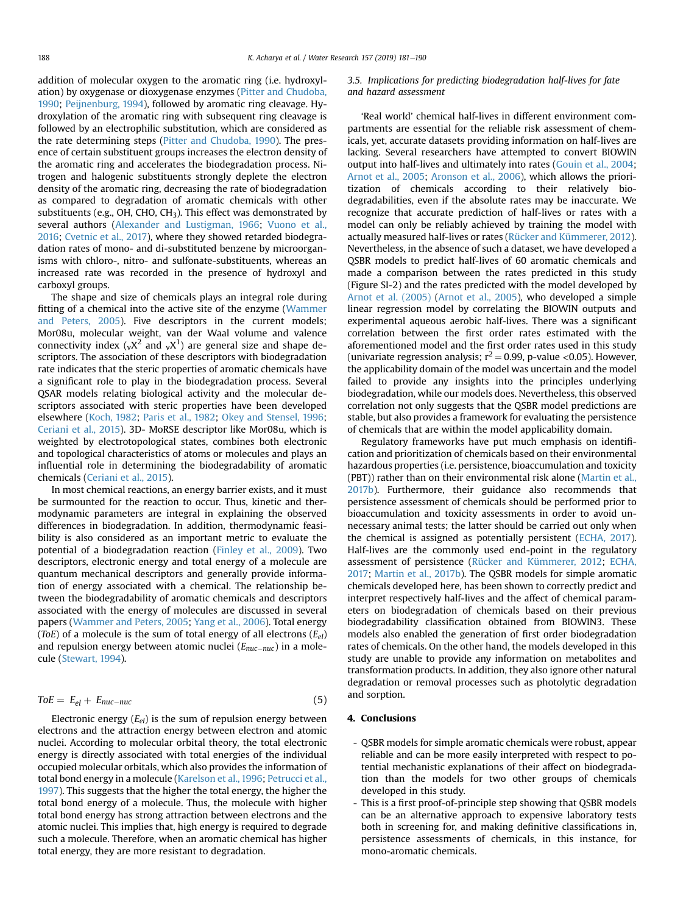addition of molecular oxygen to the aromatic ring (i.e. hydroxylation) by oxygenase or dioxygenase enzymes ([Pitter and Chudoba,](#page-9-0) [1990](#page-9-0); [Peijnenburg, 1994\)](#page-9-0), followed by aromatic ring cleavage. Hydroxylation of the aromatic ring with subsequent ring cleavage is followed by an electrophilic substitution, which are considered as the rate determining steps ([Pitter and Chudoba, 1990](#page-9-0)). The presence of certain substituent groups increases the electron density of the aromatic ring and accelerates the biodegradation process. Nitrogen and halogenic substituents strongly deplete the electron density of the aromatic ring, decreasing the rate of biodegradation as compared to degradation of aromatic chemicals with other substituents (e.g., OH, CHO, CH3). This effect was demonstrated by several authors [\(Alexander and Lustigman, 1966](#page-8-0); [Vuono et al.,](#page-9-0) [2016](#page-9-0); [Cvetnic et al., 2017\)](#page-8-0), where they showed retarded biodegradation rates of mono- and di-substituted benzene by microorganisms with chloro-, nitro- and sulfonate-substituents, whereas an increased rate was recorded in the presence of hydroxyl and carboxyl groups.

The shape and size of chemicals plays an integral role during fitting of a chemical into the active site of the enzyme ([Wammer](#page-9-0) [and Peters, 2005](#page-9-0)). Five descriptors in the current models; Mor08u, molecular weight, van der Waal volume and valence connectivity index ( $_vX^2$  and  $_vX^1$ ) are general size and shape descriptors. The association of these descriptors with biodegradation rate indicates that the steric properties of aromatic chemicals have a significant role to play in the biodegradation process. Several QSAR models relating biological activity and the molecular descriptors associated with steric properties have been developed elsewhere [\(Koch, 1982;](#page-8-0) [Paris et al., 1982;](#page-8-0) [Okey and Stensel, 1996](#page-8-0); [Ceriani et al., 2015](#page-8-0)). 3D- MoRSE descriptor like Mor08u, which is weighted by electrotopological states, combines both electronic and topological characteristics of atoms or molecules and plays an influential role in determining the biodegradability of aromatic chemicals ([Ceriani et al., 2015\)](#page-8-0).

In most chemical reactions, an energy barrier exists, and it must be surmounted for the reaction to occur. Thus, kinetic and thermodynamic parameters are integral in explaining the observed differences in biodegradation. In addition, thermodynamic feasibility is also considered as an important metric to evaluate the potential of a biodegradation reaction [\(Finley et al., 2009\)](#page-8-0). Two descriptors, electronic energy and total energy of a molecule are quantum mechanical descriptors and generally provide information of energy associated with a chemical. The relationship between the biodegradability of aromatic chemicals and descriptors associated with the energy of molecules are discussed in several papers [\(Wammer and Peters, 2005;](#page-9-0) [Yang et al., 2006](#page-9-0)). Total energy (ToE) of a molecule is the sum of total energy of all electrons  $(E_{el})$ and repulsion energy between atomic nuclei  $(E_{nuc-nuc})$  in a molecule ([Stewart, 1994\)](#page-9-0).

$$
ToE = E_{el} + E_{nuc-nuc} \tag{5}
$$

Electronic energy  $(E_{el})$  is the sum of repulsion energy between electrons and the attraction energy between electron and atomic nuclei. According to molecular orbital theory, the total electronic energy is directly associated with total energies of the individual occupied molecular orbitals, which also provides the information of total bond energy in a molecule [\(Karelson et al., 1996;](#page-8-0) [Petrucci et al.,](#page-9-0) [1997](#page-9-0)). This suggests that the higher the total energy, the higher the total bond energy of a molecule. Thus, the molecule with higher total bond energy has strong attraction between electrons and the atomic nuclei. This implies that, high energy is required to degrade such a molecule. Therefore, when an aromatic chemical has higher total energy, they are more resistant to degradation.

# 3.5. Implications for predicting biodegradation half-lives for fate and hazard assessment

'Real world' chemical half-lives in different environment compartments are essential for the reliable risk assessment of chemicals, yet, accurate datasets providing information on half-lives are lacking. Several researchers have attempted to convert BIOWIN output into half-lives and ultimately into rates ([Gouin et al., 2004](#page-8-0); [Arnot et al., 2005;](#page-8-0) [Aronson et al., 2006\)](#page-8-0), which allows the prioritization of chemicals according to their relatively biodegradabilities, even if the absolute rates may be inaccurate. We recognize that accurate prediction of half-lives or rates with a model can only be reliably achieved by training the model with actually measured half-lives or rates ([Rücker and Kümmerer, 2012\)](#page-9-0). Nevertheless, in the absence of such a dataset, we have developed a QSBR models to predict half-lives of 60 aromatic chemicals and made a comparison between the rates predicted in this study (Figure SI-2) and the rates predicted with the model developed by [Arnot et al. \(2005\)](#page-8-0) ([Arnot et al., 2005](#page-8-0)), who developed a simple linear regression model by correlating the BIOWIN outputs and experimental aqueous aerobic half-lives. There was a significant correlation between the first order rates estimated with the aforementioned model and the first order rates used in this study (univariate regression analysis;  $r^2 = 0.99$ , p-value <0.05). However, the applicability domain of the model was uncertain and the model failed to provide any insights into the principles underlying biodegradation, while our models does. Nevertheless, this observed correlation not only suggests that the QSBR model predictions are stable, but also provides a framework for evaluating the persistence of chemicals that are within the model applicability domain.

Regulatory frameworks have put much emphasis on identification and prioritization of chemicals based on their environmental hazardous properties (i.e. persistence, bioaccumulation and toxicity (PBT)) rather than on their environmental risk alone ([Martin et al.,](#page-8-0) [2017b\)](#page-8-0). Furthermore, their guidance also recommends that persistence assessment of chemicals should be performed prior to bioaccumulation and toxicity assessments in order to avoid unnecessary animal tests; the latter should be carried out only when the chemical is assigned as potentially persistent ([ECHA, 2017\)](#page-8-0). Half-lives are the commonly used end-point in the regulatory assessment of persistence ([Rücker and Kümmerer, 2012;](#page-9-0) [ECHA,](#page-8-0) [2017;](#page-8-0) [Martin et al., 2017b](#page-8-0)). The QSBR models for simple aromatic chemicals developed here, has been shown to correctly predict and interpret respectively half-lives and the affect of chemical parameters on biodegradation of chemicals based on their previous biodegradability classification obtained from BIOWIN3. These models also enabled the generation of first order biodegradation rates of chemicals. On the other hand, the models developed in this study are unable to provide any information on metabolites and transformation products. In addition, they also ignore other natural degradation or removal processes such as photolytic degradation and sorption.

# 4. Conclusions

- QSBR models for simple aromatic chemicals were robust, appear reliable and can be more easily interpreted with respect to potential mechanistic explanations of their affect on biodegradation than the models for two other groups of chemicals developed in this study.
- This is a first proof-of-principle step showing that QSBR models can be an alternative approach to expensive laboratory tests both in screening for, and making definitive classifications in, persistence assessments of chemicals, in this instance, for mono-aromatic chemicals.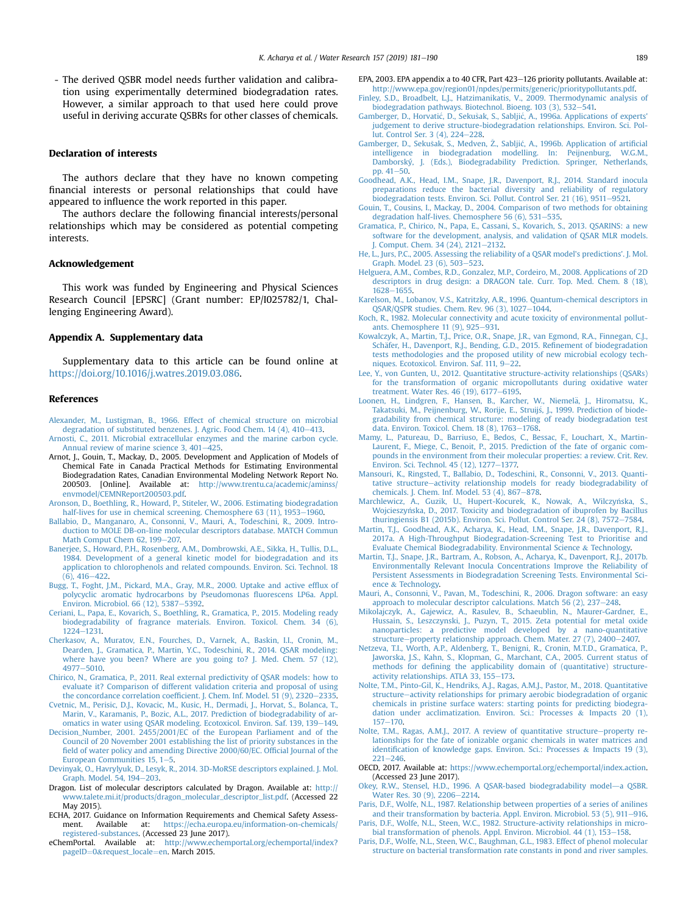<span id="page-8-0"></span>- The derived QSBR model needs further validation and calibration using experimentally determined biodegradation rates. However, a similar approach to that used here could prove useful in deriving accurate QSBRs for other classes of chemicals.

## Declaration of interests

The authors declare that they have no known competing financial interests or personal relationships that could have appeared to influence the work reported in this paper.

The authors declare the following financial interests/personal relationships which may be considered as potential competing interests.

#### Acknowledgement

This work was funded by Engineering and Physical Sciences Research Council [EPSRC] (Grant number: EP/I025782/1, Challenging Engineering Award).

## Appendix A. Supplementary data

Supplementary data to this article can be found online at <https://doi.org/10.1016/j.watres.2019.03.086>.

#### References

- [Alexander, M., Lustigman, B., 1966. Effect of chemical structure on microbial](http://refhub.elsevier.com/S0043-1354(19)30287-8/sref1) [degradation of substituted benzenes. J. Agric. Food Chem. 14 \(4\), 410](http://refhub.elsevier.com/S0043-1354(19)30287-8/sref1)-[413](http://refhub.elsevier.com/S0043-1354(19)30287-8/sref1).
- [Arnosti, C., 2011. Microbial extracellular enzymes and the marine carbon cycle.](http://refhub.elsevier.com/S0043-1354(19)30287-8/sref2) Annual review of marine science  $3,401-425$ .
- Arnot, J., Gouin, T., Mackay, D., 2005. Development and Application of Models of Chemical Fate in Canada Practical Methods for Estimating Environmental Biodegradation Rates, Canadian Environmental Modeling Network Report No. 200503. [Online]. Available at: [http://www.trentu.ca/academic/aminss/](http://www.trentu.ca/academic/aminss/envmodel/CEMNReport200503.pdf) [envmodel/CEMNReport200503.pdf](http://www.trentu.ca/academic/aminss/envmodel/CEMNReport200503.pdf).
- [Aronson, D., Boethling, R., Howard, P., Stiteler, W., 2006. Estimating biodegradation](http://refhub.elsevier.com/S0043-1354(19)30287-8/sref4) [half-lives for use in chemical screening. Chemosphere 63 \(11\), 1953](http://refhub.elsevier.com/S0043-1354(19)30287-8/sref4)-[1960.](http://refhub.elsevier.com/S0043-1354(19)30287-8/sref4)
- [Ballabio, D., Manganaro, A., Consonni, V., Mauri, A., Todeschini, R., 2009. Intro](http://refhub.elsevier.com/S0043-1354(19)30287-8/sref5)[duction to MOLE DB-on-line molecular descriptors database. MATCH Commun](http://refhub.elsevier.com/S0043-1354(19)30287-8/sref5) [Math Comput Chem 62, 199](http://refhub.elsevier.com/S0043-1354(19)30287-8/sref5)-[207.](http://refhub.elsevier.com/S0043-1354(19)30287-8/sref5)
- [Banerjee, S., Howard, P.H., Rosenberg, A.M., Dombrowski, A.E., Sikka, H., Tullis, D.L.,](http://refhub.elsevier.com/S0043-1354(19)30287-8/sref6) [1984. Development of a general kinetic model for biodegradation and its](http://refhub.elsevier.com/S0043-1354(19)30287-8/sref6) [application to chlorophenols and related compounds. Environ. Sci. Technol. 18](http://refhub.elsevier.com/S0043-1354(19)30287-8/sref6)  $(6)$ , 416-[422.](http://refhub.elsevier.com/S0043-1354(19)30287-8/sref6)
- [Bugg, T., Foght, J.M., Pickard, M.A., Gray, M.R., 2000. Uptake and active ef](http://refhub.elsevier.com/S0043-1354(19)30287-8/sref7)flux of [polycyclic aromatic hydrocarbons by Pseudomonas](http://refhub.elsevier.com/S0043-1354(19)30287-8/sref7) fluorescens LP6a. Appl. [Environ. Microbiol. 66 \(12\), 5387](http://refhub.elsevier.com/S0043-1354(19)30287-8/sref7)-[5392](http://refhub.elsevier.com/S0043-1354(19)30287-8/sref7).
- [Ceriani, L., Papa, E., Kovarich, S., Boethling, R., Gramatica, P., 2015. Modeling ready](http://refhub.elsevier.com/S0043-1354(19)30287-8/sref8) [biodegradability of fragrance materials. Environ. Toxicol. Chem. 34 \(6\),](http://refhub.elsevier.com/S0043-1354(19)30287-8/sref8) [1224](http://refhub.elsevier.com/S0043-1354(19)30287-8/sref8)-[1231.](http://refhub.elsevier.com/S0043-1354(19)30287-8/sref8)
- [Cherkasov, A., Muratov, E.N., Fourches, D., Varnek, A., Baskin, I.I., Cronin, M.,](http://refhub.elsevier.com/S0043-1354(19)30287-8/sref9) [Dearden, J., Gramatica, P., Martin, Y.C., Todeschini, R., 2014. QSAR modeling:](http://refhub.elsevier.com/S0043-1354(19)30287-8/sref9) [where have you been? Where are you going to? J. Med. Chem. 57 \(12\),](http://refhub.elsevier.com/S0043-1354(19)30287-8/sref9) [4977](http://refhub.elsevier.com/S0043-1354(19)30287-8/sref9)-[5010](http://refhub.elsevier.com/S0043-1354(19)30287-8/sref9)
- [Chirico, N., Gramatica, P., 2011. Real external predictivity of QSAR models: how to](http://refhub.elsevier.com/S0043-1354(19)30287-8/sref10) [evaluate it? Comparison of different validation criteria and proposal of using](http://refhub.elsevier.com/S0043-1354(19)30287-8/sref10) the concordance correlation coeffi[cient. J. Chem. Inf. Model. 51 \(9\), 2320](http://refhub.elsevier.com/S0043-1354(19)30287-8/sref10)-[2335](http://refhub.elsevier.com/S0043-1354(19)30287-8/sref10).
- [Cvetnic, M., Perisic, D.J., Kovacic, M., Kusic, H., Dermadi, J., Horvat, S., Bolanca, T.,](http://refhub.elsevier.com/S0043-1354(19)30287-8/sref11) [Marin, V., Karamanis, P., Bozic, A.L., 2017. Prediction of biodegradability of ar](http://refhub.elsevier.com/S0043-1354(19)30287-8/sref11)[omatics in water using QSAR modeling. Ecotoxicol. Environ. Saf. 139, 139](http://refhub.elsevier.com/S0043-1354(19)30287-8/sref11)-[149](http://refhub.elsevier.com/S0043-1354(19)30287-8/sref11).
- [Decision\\_Number, 2001. 2455/2001/EC of the European Parliament and of the](http://refhub.elsevier.com/S0043-1354(19)30287-8/sref12) [Council of 20 November 2001 establishing the list of priority substances in the](http://refhub.elsevier.com/S0043-1354(19)30287-8/sref12) fi[eld of water policy and amending Directive 2000/60/EC. Of](http://refhub.elsevier.com/S0043-1354(19)30287-8/sref12)ficial Journal of the European Communities  $15, 1-5.$  $15, 1-5.$
- [Devinyak, O., Havrylyuk, D., Lesyk, R., 2014. 3D-MoRSE descriptors explained. J. Mol.](http://refhub.elsevier.com/S0043-1354(19)30287-8/sref13) [Graph. Model. 54, 194](http://refhub.elsevier.com/S0043-1354(19)30287-8/sref13)-[203.](http://refhub.elsevier.com/S0043-1354(19)30287-8/sref13)
- Dragon. List of molecular descriptors calculated by Dragon. Available at: [http://](http://www.talete.mi.it/products/dragon_molecular_descriptor_list.pdf) [www.talete.mi.it/products/dragon\\_molecular\\_descriptor\\_list.pdf.](http://www.talete.mi.it/products/dragon_molecular_descriptor_list.pdf) (Accessed 22 May 2015).
- ECHA, 2017. Guidance on Information Requirements and Chemical Safety Assessment. Available at: [https://echa.europa.eu/information-on-chemicals/](https://echa.europa.eu/information-on-chemicals/registered-substances) [registered-substances](https://echa.europa.eu/information-on-chemicals/registered-substances). (Accessed 23 June 2017).
- eChemPortal. Available at: [http://www.echemportal.org/echemportal/index?](http://www.echemportal.org/echemportal/index?pageID=0&request_locale=en) [pageID](http://www.echemportal.org/echemportal/index?pageID=0&request_locale=en)=[0](http://www.echemportal.org/echemportal/index?pageID=0&request_locale=en)&[request\\_locale](http://www.echemportal.org/echemportal/index?pageID=0&request_locale=en)=[en](http://www.echemportal.org/echemportal/index?pageID=0&request_locale=en). March 2015.
- EPA, 2003. EPA appendix a to 40 CFR, Part 423-126 priority pollutants. Available at: <http://www.epa.gov/region01/npdes/permits/generic/prioritypollutants.pdf>.
- [Finley, S.D., Broadbelt, L.J., Hatzimanikatis, V., 2009. Thermodynamic analysis of](http://refhub.elsevier.com/S0043-1354(19)30287-8/sref18) [biodegradation pathways. Biotechnol. Bioeng. 103 \(3\), 532](http://refhub.elsevier.com/S0043-1354(19)30287-8/sref18)-[541.](http://refhub.elsevier.com/S0043-1354(19)30287-8/sref18)
- [Gamberger, D., Horvati](http://refhub.elsevier.com/S0043-1354(19)30287-8/sref19)[c, D., Seku](http://refhub.elsevier.com/S0043-1354(19)30287-8/sref19)s[ak, S., Sablji](http://refhub.elsevier.com/S0043-1354(19)30287-8/sref19)[c, A., 1996a. Applications of experts'](http://refhub.elsevier.com/S0043-1354(19)30287-8/sref19) [judgement to derive structure-biodegradation relationships. Environ. Sci. Pol-](http://refhub.elsevier.com/S0043-1354(19)30287-8/sref19) $\frac{1}{2}$ [lut. Control Ser. 3 \(4\), 224](http://refhub.elsevier.com/S0043-1354(19)30287-8/sref19)-[228](http://refhub.elsevier.com/S0043-1354(19)30287-8/sref19).
- [Gamberger, D., Seku](http://refhub.elsevier.com/S0043-1354(19)30287-8/sref20)s[ak, S., Medven,](http://refhub.elsevier.com/S0043-1354(19)30287-8/sref20) Z[., Sablji](http://refhub.elsevier.com/S0043-1354(19)30287-8/sref20)[c, A., 1996b. Application of arti](http://refhub.elsevier.com/S0043-1354(19)30287-8/sref20)ficial [intelligence in biodegradation modelling. In: Peijnenburg, W.G.M.,](http://refhub.elsevier.com/S0043-1354(19)30287-8/sref20) [Damborský, J. \(Eds.\), Biodegradability Prediction. Springer, Netherlands,](http://refhub.elsevier.com/S0043-1354(19)30287-8/sref20) pp.  $41-50$  $41-50$ .
- [Goodhead, A.K., Head, I.M., Snape, J.R., Davenport, R.J., 2014. Standard inocula](http://refhub.elsevier.com/S0043-1354(19)30287-8/sref21) [preparations reduce the bacterial diversity and reliability of regulatory](http://refhub.elsevier.com/S0043-1354(19)30287-8/sref21) [biodegradation tests. Environ. Sci. Pollut. Control Ser. 21 \(16\), 9511](http://refhub.elsevier.com/S0043-1354(19)30287-8/sref21)-[9521.](http://refhub.elsevier.com/S0043-1354(19)30287-8/sref21)
- [Gouin, T., Cousins, I., Mackay, D., 2004. Comparison of two methods for obtaining](http://refhub.elsevier.com/S0043-1354(19)30287-8/sref22) degradation half-lives. Chemosphere  $56(6)$ ,  $531-535$ .
- [Gramatica, P., Chirico, N., Papa, E., Cassani, S., Kovarich, S., 2013. QSARINS: a new](http://refhub.elsevier.com/S0043-1354(19)30287-8/sref23) [software for the development, analysis, and validation of QSAR MLR models.](http://refhub.elsevier.com/S0043-1354(19)30287-8/sref23) Comput. Chem. 34 (24), 2121-[2132.](http://refhub.elsevier.com/S0043-1354(19)30287-8/sref23)
- [He, L., Jurs, P.C., 2005. Assessing the reliability of a QSAR model's predictions'. J. Mol.](http://refhub.elsevier.com/S0043-1354(19)30287-8/sref24) [Graph. Model. 23 \(6\), 503](http://refhub.elsevier.com/S0043-1354(19)30287-8/sref24)-[523.](http://refhub.elsevier.com/S0043-1354(19)30287-8/sref24)
- [Helguera, A.M., Combes, R.D., Gonzalez, M.P., Cordeiro, M., 2008. Applications of 2D](http://refhub.elsevier.com/S0043-1354(19)30287-8/sref25) [descriptors in drug design: a DRAGON tale. Curr. Top. Med. Chem. 8 \(18\),](http://refhub.elsevier.com/S0043-1354(19)30287-8/sref25) [1628](http://refhub.elsevier.com/S0043-1354(19)30287-8/sref25)-1655
- [Karelson, M., Lobanov, V.S., Katritzky, A.R., 1996. Quantum-chemical descriptors in](http://refhub.elsevier.com/S0043-1354(19)30287-8/sref26) [QSAR/QSPR studies. Chem. Rev. 96 \(3\), 1027](http://refhub.elsevier.com/S0043-1354(19)30287-8/sref26)–[1044](http://refhub.elsevier.com/S0043-1354(19)30287-8/sref26).
- [Koch, R., 1982. Molecular connectivity and acute toxicity of environmental pollut](http://refhub.elsevier.com/S0043-1354(19)30287-8/sref27)ants. Chemosphere  $11$  (9),  $925-931$ .
- [Kowalczyk, A., Martin, T.J., Price, O.R., Snape, J.R., van Egmond, R.A., Finnegan, C.J.,](http://refhub.elsevier.com/S0043-1354(19)30287-8/sref28) [Sch](http://refhub.elsevier.com/S0043-1354(19)30287-8/sref28)äfer, H., Davenport, R.J., Bending, G.D., 2015. Refinement of biodegradation [tests methodologies and the proposed utility of new microbial ecology tech](http://refhub.elsevier.com/S0043-1354(19)30287-8/sref28)[niques. Ecotoxicol. Environ. Saf. 111, 9](http://refhub.elsevier.com/S0043-1354(19)30287-8/sref28)-[22.](http://refhub.elsevier.com/S0043-1354(19)30287-8/sref28)
- [Lee, Y., von Gunten, U., 2012. Quantitative structure-activity relationships \(QSARs\)](http://refhub.elsevier.com/S0043-1354(19)30287-8/sref29) [for the transformation of organic micropollutants during oxidative water](http://refhub.elsevier.com/S0043-1354(19)30287-8/sref29) [treatment. Water Res. 46 \(19\), 6177](http://refhub.elsevier.com/S0043-1354(19)30287-8/sref29)-[6195](http://refhub.elsevier.com/S0043-1354(19)30287-8/sref29).
- [Loonen, H., Lindgren, F., Hansen, B., Karcher, W., Niemel](http://refhub.elsevier.com/S0043-1354(19)30287-8/sref30)ä, J., Hiromatsu, K. [Takatsuki, M., Peijnenburg, W., Rorije, E., Struij](http://refhub.elsevier.com/S0043-1354(19)30287-8/sref30)ś[, J., 1999. Prediction of biode](http://refhub.elsevier.com/S0043-1354(19)30287-8/sref30)[gradability from chemical structure: modeling of ready biodegradation test](http://refhub.elsevier.com/S0043-1354(19)30287-8/sref30) [data. Environ. Toxicol. Chem. 18 \(8\), 1763](http://refhub.elsevier.com/S0043-1354(19)30287-8/sref30)-[1768.](http://refhub.elsevier.com/S0043-1354(19)30287-8/sref30)
- [Mamy, L., Patureau, D., Barriuso, E., Bedos, C., Bessac, F., Louchart, X., Martin-](http://refhub.elsevier.com/S0043-1354(19)30287-8/sref31)[Laurent, F., Miege, C., Benoit, P., 2015. Prediction of the fate of organic com](http://refhub.elsevier.com/S0043-1354(19)30287-8/sref31)[pounds in the environment from their molecular properties: a review. Crit. Rev.](http://refhub.elsevier.com/S0043-1354(19)30287-8/sref31) [Environ. Sci. Technol. 45 \(12\), 1277](http://refhub.elsevier.com/S0043-1354(19)30287-8/sref31)-[1377.](http://refhub.elsevier.com/S0043-1354(19)30287-8/sref31)
- [Mansouri, K., Ringsted, T., Ballabio, D., Todeschini, R., Consonni, V., 2013. Quanti](http://refhub.elsevier.com/S0043-1354(19)30287-8/sref32)[tative structure](http://refhub.elsevier.com/S0043-1354(19)30287-8/sref32)-[activity relationship models for ready biodegradability of](http://refhub.elsevier.com/S0043-1354(19)30287-8/sref32) [chemicals. J. Chem. Inf. Model. 53 \(4\), 867](http://refhub.elsevier.com/S0043-1354(19)30287-8/sref32)-[878.](http://refhub.elsevier.com/S0043-1354(19)30287-8/sref32)
- [Marchlewicz, A., Guzik, U., Hupert-Kocurek, K., Nowak, A., Wilczynska, S.,](http://refhub.elsevier.com/S0043-1354(19)30287-8/sref33) Wojcieszyńska, D., 2017. Toxicity and biodegradation of ibuprofen by Bacillus [thuringiensis B1 \(2015b\). Environ. Sci. Pollut. Control Ser. 24 \(8\), 7572](http://refhub.elsevier.com/S0043-1354(19)30287-8/sref33)-[7584.](http://refhub.elsevier.com/S0043-1354(19)30287-8/sref33)
- [Martin, T.J., Goodhead, A.K., Acharya, K., Head, I.M., Snape, J.R., Davenport, R.J.,](http://refhub.elsevier.com/S0043-1354(19)30287-8/sref34) [2017a. A High-Throughput Biodegradation-Screening Test to Prioritise and](http://refhub.elsevier.com/S0043-1354(19)30287-8/sref34) [Evaluate Chemical Biodegradability. Environmental Science](http://refhub.elsevier.com/S0043-1354(19)30287-8/sref34) & [Technology.](http://refhub.elsevier.com/S0043-1354(19)30287-8/sref34)
- [Martin, T.J., Snape, J.R., Bartram, A., Robson, A., Acharya, K., Davenport, R.J., 2017b.](http://refhub.elsevier.com/S0043-1354(19)30287-8/sref35) [Environmentally Relevant Inocula Concentrations Improve the Reliability of](http://refhub.elsevier.com/S0043-1354(19)30287-8/sref35) [Persistent Assessments in Biodegradation Screening Tests. Environmental Sci](http://refhub.elsevier.com/S0043-1354(19)30287-8/sref35)[ence](http://refhub.elsevier.com/S0043-1354(19)30287-8/sref35) & [Technology](http://refhub.elsevier.com/S0043-1354(19)30287-8/sref35).
- [Mauri, A., Consonni, V., Pavan, M., Todeschini, R., 2006. Dragon software: an easy](http://refhub.elsevier.com/S0043-1354(19)30287-8/sref36) approach to molecular descriptor calculations. Match 56 (2),  $237-248$ .
- [Mikolajczyk, A., Gajewicz, A., Rasulev, B., Schaeublin, N., Maurer-Gardner, E.,](http://refhub.elsevier.com/S0043-1354(19)30287-8/sref37) [Hussain, S., Leszczynski, J., Puzyn, T., 2015. Zeta potential for metal oxide](http://refhub.elsevier.com/S0043-1354(19)30287-8/sref37) [nanoparticles: a predictive model developed by a nano-quantitative](http://refhub.elsevier.com/S0043-1354(19)30287-8/sref37) [structure](http://refhub.elsevier.com/S0043-1354(19)30287-8/sref37)-[property relationship approach. Chem. Mater. 27 \(7\), 2400](http://refhub.elsevier.com/S0043-1354(19)30287-8/sref37)-[2407.](http://refhub.elsevier.com/S0043-1354(19)30287-8/sref37)
- [Netzeva, T.I., Worth, A.P., Aldenberg, T., Benigni, R., Cronin, M.T.D., Gramatica, P.,](http://refhub.elsevier.com/S0043-1354(19)30287-8/sref38) [Jaworska, J.S., Kahn, S., Klopman, G., Marchant, C.A., 2005. Current status of](http://refhub.elsevier.com/S0043-1354(19)30287-8/sref38) methods for defi[ning the applicability domain of \(quantitative\) structure](http://refhub.elsevier.com/S0043-1354(19)30287-8/sref38)[activity relationships. ATLA 33, 155](http://refhub.elsevier.com/S0043-1354(19)30287-8/sref38)-[173](http://refhub.elsevier.com/S0043-1354(19)30287-8/sref38).
- [Nolte, T.M., Pinto-Gil, K., Hendriks, A.J., Ragas, A.M.J., Pastor, M., 2018. Quantitative](http://refhub.elsevier.com/S0043-1354(19)30287-8/sref39) [structure](http://refhub.elsevier.com/S0043-1354(19)30287-8/sref39)-[activity relationships for primary aerobic biodegradation of organic](http://refhub.elsevier.com/S0043-1354(19)30287-8/sref39) [chemicals in pristine surface waters: starting points for predicting biodegra](http://refhub.elsevier.com/S0043-1354(19)30287-8/sref39)[dation under acclimatization. Environ. Sci.: Processes](http://refhub.elsevier.com/S0043-1354(19)30287-8/sref39) & [Impacts 20 \(1\),](http://refhub.elsevier.com/S0043-1354(19)30287-8/sref39)  $157 - 170.$  $157 - 170.$  $157 - 170.$
- [Nolte, T.M., Ragas, A.M.J., 2017. A review of quantitative structure](http://refhub.elsevier.com/S0043-1354(19)30287-8/sref40)-[property re](http://refhub.elsevier.com/S0043-1354(19)30287-8/sref40)[lationships for the fate of ionizable organic chemicals in water matrices and](http://refhub.elsevier.com/S0043-1354(19)30287-8/sref40) identifi[cation of knowledge gaps. Environ. Sci.: Processes](http://refhub.elsevier.com/S0043-1354(19)30287-8/sref40) & [Impacts 19 \(3\),](http://refhub.elsevier.com/S0043-1354(19)30287-8/sref40)  $221 - 246$  $221 - 246$ .
- OECD, 2017. Available at: <https://www.echemportal.org/echemportal/index.action>. (Accessed 23 June 2017).
- [Okey, R.W., Stensel, H.D., 1996. A QSAR-based biodegradability model](http://refhub.elsevier.com/S0043-1354(19)30287-8/sref42)-[a QSBR.](http://refhub.elsevier.com/S0043-1354(19)30287-8/sref42) [Water Res. 30 \(9\), 2206](http://refhub.elsevier.com/S0043-1354(19)30287-8/sref42)-[2214](http://refhub.elsevier.com/S0043-1354(19)30287-8/sref42).
- [Paris, D.F., Wolfe, N.L., 1987. Relationship between properties of a series of anilines](http://refhub.elsevier.com/S0043-1354(19)30287-8/sref43) [and their transformation by bacteria. Appl. Environ. Microbiol. 53 \(5\), 911](http://refhub.elsevier.com/S0043-1354(19)30287-8/sref43)-[916](http://refhub.elsevier.com/S0043-1354(19)30287-8/sref43). [Paris, D.F., Wolfe, N.L., Steen, W.C., 1982. Structure-activity relationships in micro-](http://refhub.elsevier.com/S0043-1354(19)30287-8/sref44)
- bial transformation of phenols. Appl. Environ. Microbiol.  $44$  (1),  $153-158$  $153-158$ .
- [Paris, D.F., Wolfe, N.L., Steen, W.C., Baughman, G.L., 1983. Effect of phenol molecular](http://refhub.elsevier.com/S0043-1354(19)30287-8/sref45) [structure on bacterial transformation rate constants in pond and river samples.](http://refhub.elsevier.com/S0043-1354(19)30287-8/sref45)